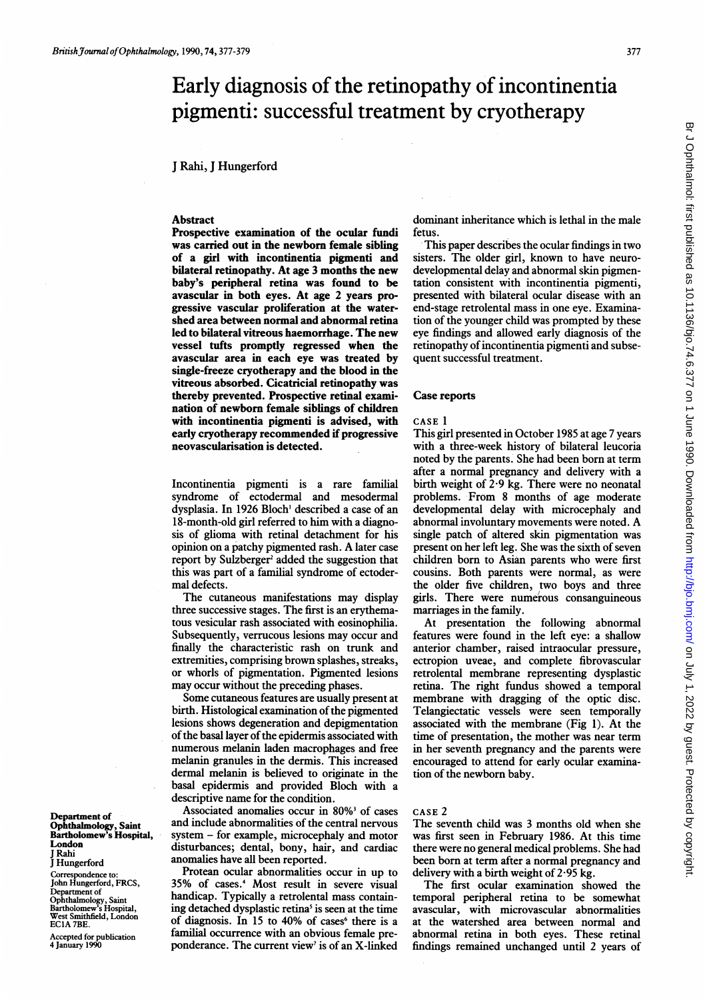# Early diagnosis of the retinopathy of incontinentia pigmenti: successful treatment by cryotherapy

## J Rahi, J Hungerford

#### **Abstract**

Prospective examination of the ocular fundi was carried out in the newborn female sibling of a girl with incontinentia pigmenti and bilateral retinopathy. At age 3 months the new baby's peripheral retina was found to be avascular in both eyes. At age 2 years progressive vascular proliferation at the watershed area between normal and abnormal retina led to bilateral vitreous haemorrhage. The new vessel tufts promptly regressed when the avascular area in each eye was treated by single-freeze cryotherapy and the blood in the vitreous absorbed. Cicatricial retinopathy was thereby prevented. Prospective retinal examination of newborn female siblings of children with incontinentia pigmenti is advised, with early cryotherapy recommended if progressive neovascularisation is detected.

Incontinentia pigmenti is a rare familial syndrome of ectodermal and mesodermal dysplasia. In 1926 Bloch' described a case of an 18-month-old girl referred to him with a diagnosis of glioma with retinal detachment for his opinion on <sup>a</sup> patchy pigmented rash. A later case report by Sulzberger<sup>2</sup> added the suggestion that this was part of a familial syndrome of ectodermal defects.

The cutaneous manifestations may display three successive stages. The first is an erythematous vesicular rash associated with eosinophilia. Subsequently, verrucous lesions may occur and finally the characteristic rash on trunk and extremities, comprising brown splashes, streaks, or whorls of pigmentation. Pigmented lesions may occur without the preceding phases.

Some cutaneous features are usually present at birth. Histological examination of the pigmented lesions shows degeneration and depigmentation of the basal layer of the epidermis associated with numerous melanin laden macrophages and free melanin granules in the dermis. This increased dermal melanin is believed to originate in the basal epidermis and provided Bloch with a descriptive name for the condition.

Associated anomalies occur in 80%<sup>3</sup> of cases and include abnormalities of the central nervous system - for example, microcephaly and motor disturbances; dental, bony, hair, and cardiac anomalies have all been reported.

Protean ocular abnormalities occur in up to 35% of cases.4 Most result in severe visual handicap. Typically a retrolental mass containing detached dysplastic retina<sup>5</sup> is seen at the time of diagnosis. In 15 to 40% of cases $6$  there is a familial occurrence with an obvious female preponderance. The current view<sup>7</sup> is of an X-linked

dominant inheritance which is lethal in the male fetus.

This paper describes the ocular findings in two sisters. The older girl, known to have neurodevelopmental delay and abnormal skin pigmentation consistent with incontinentia pigmenti, presented with bilateral ocular disease with an end-stage retrolental mass in one eye. Examination of the younger child was prompted by these eye findings and allowed early diagnosis of the retinopathy of incontinentia pigmenti and subsequent successful treatment.

### Case reports

#### CASE <sup>1</sup>

This girl presented in October 1985 at age 7 years with a three-week history of bilateral leucoria noted by the parents. She had been born at term after a normal pregnancy and delivery with a birth weight of 2-9 kg. There were no neonatal problems. From 8 months of age moderate developmental delay with microcephaly and abnormal involuntary movements were noted. A single patch of altered skin pigmentation was present on her left leg. She was the sixth of seven children born to Asian parents who were first cousins. Both parents were normal, as were the older five children, two boys and three girls. There were numerous consanguineous marriages in the family.

At presentation the following abnormal features were found in the left eye: a shallow anterior chamber, raised intraocular pressure, ectropion uveae, and complete fibrovascular retrolental membrane representing dysplastic retina. The right fundus showed a temporal membrane with dragging of the optic disc. Telangiectatic vessels were seen temporally associated with the membrane (Fig 1). At the time of presentation, the mother was near term in her seventh pregnancy and the parents were encouraged to attend for early ocular examination of the newborn baby.

#### CASE 2

The seventh child was 3 months old when she was first seen in February 1986. At this time there were no general medical problems. She had been born at term after a normal pregnancy and delivery with a birth weight of 2-95 kg.

The first ocular examination showed the temporal peripheral retina to be somewhat avascular, with microvascular abnormalities at the watershed area between normal and abnormal retina in both eyes. These retinal findings remained unchanged until 2 years of

Department of Ophthalmology, Saint Bartholomew's Hospital, London Rahi J Hungerford Correspondence to: John Hungerford, FRCS, Department of Ophthalmology, Saint Bartholomew's Hospital, West Smithfield, London

Accepted for publication 4 January 1990

EC1A 7BE.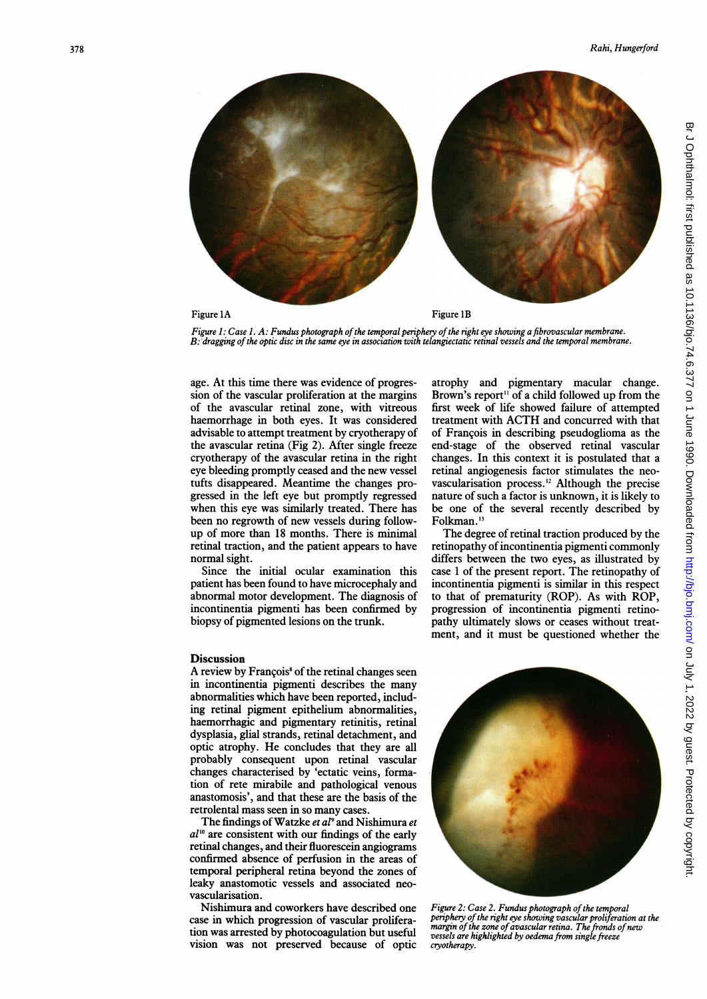

Figure 1: Case 1. A: Fundus photograph of the temporal periphery of the right eye showing a fibrovascular membrane. B: 'dragging ofthe optic disc in the same eye in association with telangiectatic retinal vessels and the temporal membrane.

age. At this time there was evidence of progression of the vascular proliferation at the margins of the avascular retinal zone, with vitreous haemorrhage in both eyes. It was considered advisable to attempt treatment by cryotherapy of the avascular retina (Fig 2). After single freeze cryotherapy of the avascular retina in the right eye bleeding promptly ceased and the new vessel tufts disappeared. Meantime the changes progressed in the left eye but promptly regressed when this eye was similarly treated. There has been no regrowth of new vessels during followup of more than 18 months. There is minimal retinal traction, and the patient appears to have normal sight.

Since the initial ocular examination this patient has been found to have microcephaly and abnormal motor development. The diagnosis of incontinentia pigmenti has been confirmed by biopsy of pigmented lesions on the trunk.

#### **Discussion**

A review by François<sup>8</sup> of the retinal changes seen in incontinentia pigmenti describes the many abnormalities which have been reported, including retinal pigment epithelium abnormalities, haemorrhagic and pigmentary retinitis, retinal dysplasia, glial strands, retinal detachment, and optic atrophy. He concludes that they are all probably consequent upon retinal vascular changes characterised by 'ectatic veins, formation of rete mirabile and pathological venous anastomosis', and that these are the basis of the retrolental mass seen in so many cases.

The findings of Watzke et al<sup>9</sup> and Nishimura et  $a l^{10}$  are consistent with our findings of the early retinal changes, and their fluorescein angiograms confirmed absence of perfusion in the areas of temporal peripheral retina beyond the zones of leaky anastomotic vessels and associated neovascularisation.

Nishimura and coworkers have described one case in which progression of vascular proliferation was arrested by photocoagulation but useful vision was not preserved because of optic atrophy and pigmentary macular change. Brown's report" of a child followed up from the first week of life showed failure of attempted treatment with ACTH and concurred with that of Francois in describing pseudoglioma as the end-stage of the observed retinal vascular changes. In this context it is postulated that a retinal angiogenesis factor stimulates the neovascularisation process.'2 Although the precise nature of such a factor is unknown, it is likely to be one of the several recently described by Folkman.<sup>13</sup>

The degree of retinal traction produced by the retinopathy of incontinentia pigmenti commonly differs between the two eyes, as illustrated by case <sup>1</sup> of the present report. The retinopathy of incontinentia pigmenti is similar in this respect to that of prematurity (ROP). As with ROP, progression of incontinentia pigmenti retinopathy ultimately slows or ceases without treatment, and it must be questioned whether the



Figure 2: Case 2. Fundus photograph of the temporal periphery of the right eye showing vascular proliferation at the margin of the zone of avascular retina. The fronds of new vessels are highlighted by oedema from single freeze cryotherapy.